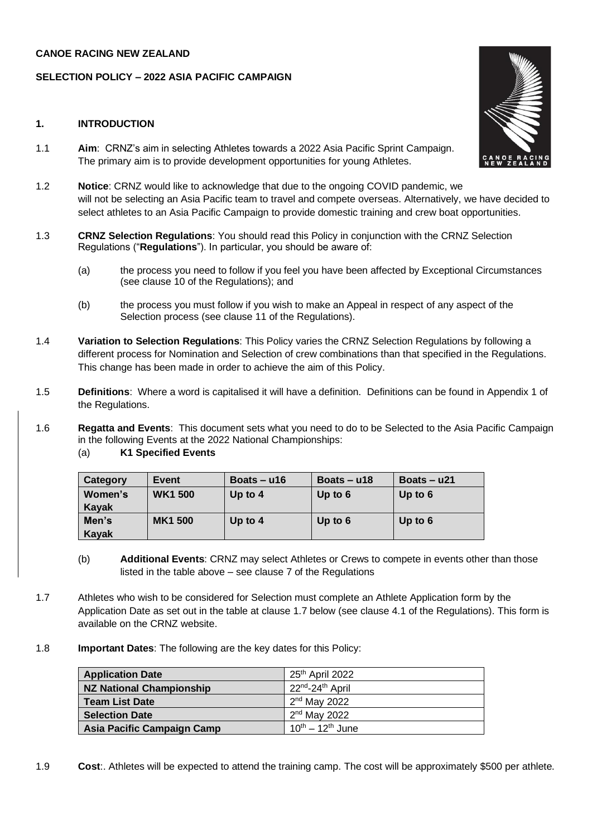#### **CANOE RACING NEW ZEALAND**

## **SELECTION POLICY – 2022 ASIA PACIFIC CAMPAIGN**

#### **1. INTRODUCTION**

- 1.1 **Aim**: CRNZ's aim in selecting Athletes towards a 2022 Asia Pacific Sprint Campaign. The primary aim is to provide development opportunities for young Athletes.
- 1.2 **Notice**: CRNZ would like to acknowledge that due to the ongoing COVID pandemic, we will not be selecting an Asia Pacific team to travel and compete overseas. Alternatively, we have decided to select athletes to an Asia Pacific Campaign to provide domestic training and crew boat opportunities.
- 1.3 **CRNZ Selection Regulations**: You should read this Policy in conjunction with the CRNZ Selection Regulations ("**Regulations**"). In particular, you should be aware of:
	- (a) the process you need to follow if you feel you have been affected by Exceptional Circumstances (see clause 10 of the Regulations); and
	- (b) the process you must follow if you wish to make an Appeal in respect of any aspect of the Selection process (see clause 11 of the Regulations).
- 1.4 **Variation to Selection Regulations**: This Policy varies the CRNZ Selection Regulations by following a different process for Nomination and Selection of crew combinations than that specified in the Regulations. This change has been made in order to achieve the aim of this Policy.
- 1.5 **Definitions**: Where a word is capitalised it will have a definition. Definitions can be found in Appendix 1 of the Regulations.
- 1.6 **Regatta and Events**: This document sets what you need to do to be Selected to the Asia Pacific Campaign in the following Events at the 2022 National Championships:

| (a)<br><b>K1 Specified Events</b> |  |
|-----------------------------------|--|
|-----------------------------------|--|

| Category | <b>Event</b>   | Boats $- u16$ | Boats $- u18$ | Boats $- u21$ |
|----------|----------------|---------------|---------------|---------------|
| Women's  | <b>WK1500</b>  | Up to $4$     | Up to $6$     | Up to $6$     |
| Kayak    |                |               |               |               |
| Men's    | <b>MK1 500</b> | Up to $4$     | Up to $6$     | Up to $6$     |
| Kayak    |                |               |               |               |

- (b) **Additional Events**: CRNZ may select Athletes or Crews to compete in events other than those listed in the table above – see clause 7 of the Regulations
- 1.7 Athletes who wish to be considered for Selection must complete an Athlete Application form by the Application Date as set out in the table at clause 1.7 below (see clause 4.1 of the Regulations). This form is available on the CRNZ website.
- 1.8 **Important Dates**: The following are the key dates for this Policy:

| <b>Application Date</b>    | 25 <sup>th</sup> April 2022              |
|----------------------------|------------------------------------------|
| NZ National Championship   | 22 <sup>nd</sup> -24 <sup>th</sup> April |
| <b>Team List Date</b>      | $2nd$ May 2022                           |
| <b>Selection Date</b>      | $2nd$ May 2022                           |
| Asia Pacific Campaign Camp | $10^{th} - 12^{th}$ June                 |

1.9 **Cost**:. Athletes will be expected to attend the training camp. The cost will be approximately \$500 per athlete.

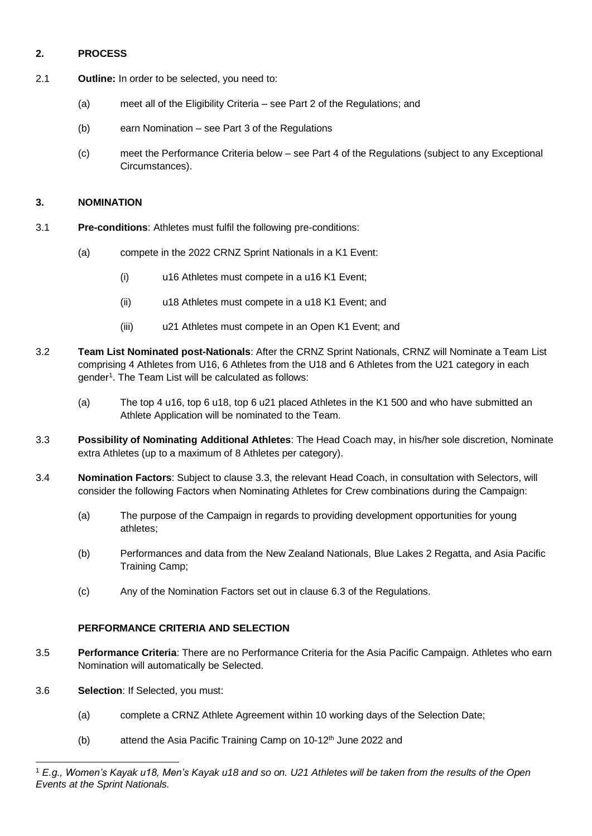## **2. PROCESS**

- 2.1 **Outline:** In order to be selected, you need to:
	- (a) meet all of the Eligibility Criteria see Part 2 of the Regulations; and
	- (b) earn Nomination see Part 3 of the Regulations
	- (c) meet the Performance Criteria below see Part 4 of the Regulations (subject to any Exceptional Circumstances).

### **3. NOMINATION**

- 3.1 **Pre-conditions**: Athletes must fulfil the following pre-conditions:
	- (a) compete in the 2022 CRNZ Sprint Nationals in a K1 Event:
		- (i) u16 Athletes must compete in a u16 K1 Event;
		- (ii) u18 Athletes must compete in a u18 K1 Event; and
		- (iii) u21 Athletes must compete in an Open K1 Event; and
- 3.2 **Team List Nominated post-Nationals**: After the CRNZ Sprint Nationals, CRNZ will Nominate a Team List comprising 4 Athletes from U16, 6 Athletes from the U18 and 6 Athletes from the U21 category in each gender<sup>1</sup>. The Team List will be calculated as follows:
	- (a) The top 4 u16, top 6 u18, top 6 u21 placed Athletes in the K1 500 and who have submitted an Athlete Application will be nominated to the Team.
- 3.3 **Possibility of Nominating Additional Athletes**: The Head Coach may, in his/her sole discretion, Nominate extra Athletes (up to a maximum of 8 Athletes per category).
- 3.4 **Nomination Factors**: Subject to clause 3.3, the relevant Head Coach, in consultation with Selectors, will consider the following Factors when Nominating Athletes for Crew combinations during the Campaign:
	- (a) The purpose of the Campaign in regards to providing development opportunities for young athletes;
	- (b) Performances and data from the New Zealand Nationals, Blue Lakes 2 Regatta, and Asia Pacific Training Camp;
	- (c) Any of the Nomination Factors set out in clause 6.3 of the Regulations.

# **PERFORMANCE CRITERIA AND SELECTION**

- 3.5 **Performance Criteria**: There are no Performance Criteria for the Asia Pacific Campaign. Athletes who earn Nomination will automatically be Selected.
- 3.6 **Selection**: If Selected, you must:
	- (a) complete a CRNZ Athlete Agreement within 10 working days of the Selection Date;
	- (b) attend the Asia Pacific Training Camp on  $10-12<sup>th</sup>$  June 2022 and

<sup>1</sup> *E.g., Women's Kayak u18, Men's Kayak u18 and so on. U21 Athletes will be taken from the results of the Open Events at the Sprint Nationals.*